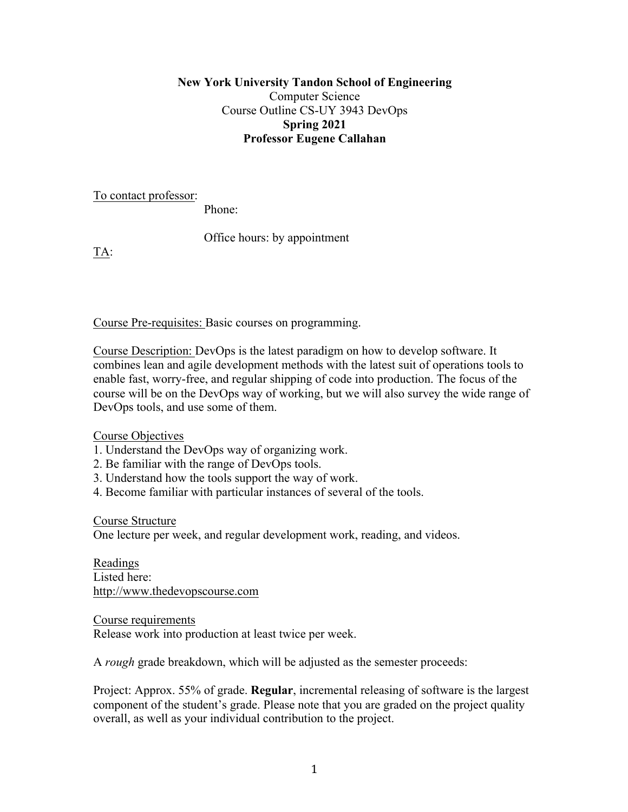## **New York University Tandon School of Engineering**  Computer Science Course Outline CS-UY 3943 DevOps **Spring 2021 Professor Eugene Callahan**

To contact professor:

Phone:

Office hours: by appointment

TA:

Course Pre-requisites: Basic courses on programming.

Course Description: DevOps is the latest paradigm on how to develop software. It combines lean and agile development methods with the latest suit of operations tools to enable fast, worry-free, and regular shipping of code into production. The focus of the course will be on the DevOps way of working, but we will also survey the wide range of DevOps tools, and use some of them.

Course Objectives

- 1. Understand the DevOps way of organizing work.
- 2. Be familiar with the range of DevOps tools.
- 3. Understand how the tools support the way of work.
- 4. Become familiar with particular instances of several of the tools.

Course Structure

One lecture per week, and regular development work, reading, and videos.

Readings Listed here: http://www.thedevopscourse.com

Course requirements Release work into production at least twice per week.

A *rough* grade breakdown, which will be adjusted as the semester proceeds:

Project: Approx. 55% of grade. **Regular**, incremental releasing of software is the largest component of the student's grade. Please note that you are graded on the project quality overall, as well as your individual contribution to the project.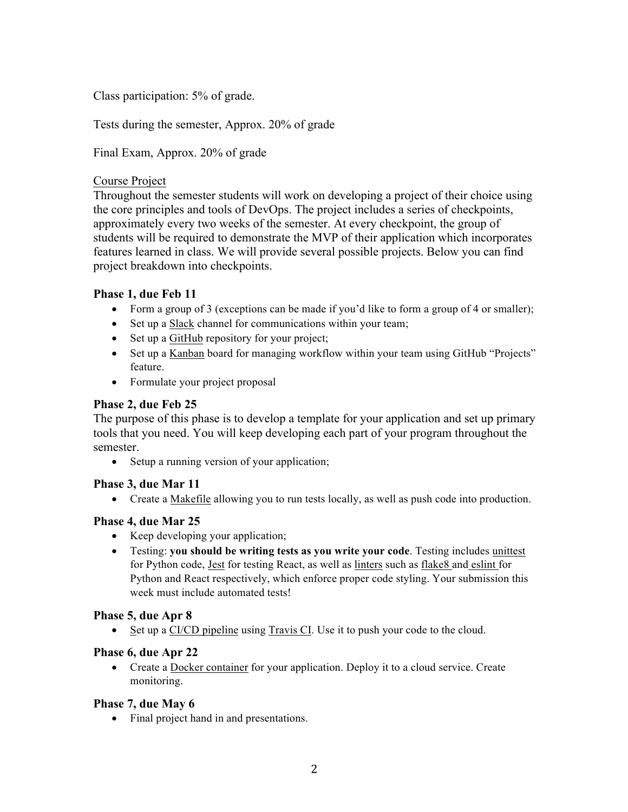Class participation: 5% of grade.

Tests during the semester, Approx. 20% of grade

Final Exam, Approx. 20% of grade

### Course Project

Throughout the semester students will work on developing a project of their choice using the core principles and tools of DevOps. The project includes a series of checkpoints, approximately every two weeks of the semester. At every checkpoint, the group of students will be required to demonstrate the MVP of their application which incorporates features learned in class. We will provide several possible projects. Below you can find project breakdown into checkpoints.

## **Phase 1, due Feb 11**

- Form a group of 3 (exceptions can be made if you'd like to form a group of 4 or smaller);
- Set up a Slack channel for communications within your team;
- Set up a GitHub repository for your project;
- Set up a Kanban board for managing workflow within your team using GitHub "Projects" feature.
- Formulate your project proposal

# **Phase 2, due Feb 25**

The purpose of this phase is to develop a template for your application and set up primary tools that you need. You will keep developing each part of your program throughout the semester.

• Setup a running version of your application;

#### **Phase 3, due Mar 11**

• Create a Makefile allowing you to run tests locally, as well as push code into production.

#### **Phase 4, due Mar 25**

- Keep developing your application;
- Testing: **you should be writing tests as you write your code**. Testing includes unittest for Python code, Jest for testing React, as well as linters such as flake8 and eslint for Python and React respectively, which enforce proper code styling. Your submission this week must include automated tests!

#### **Phase 5, due Apr 8**

Set up a CI/CD pipeline using Travis CI. Use it to push your code to the cloud.

#### **Phase 6, due Apr 22**

• Create a Docker container for your application. Deploy it to a cloud service. Create monitoring.

#### **Phase 7, due May 6**

• Final project hand in and presentations.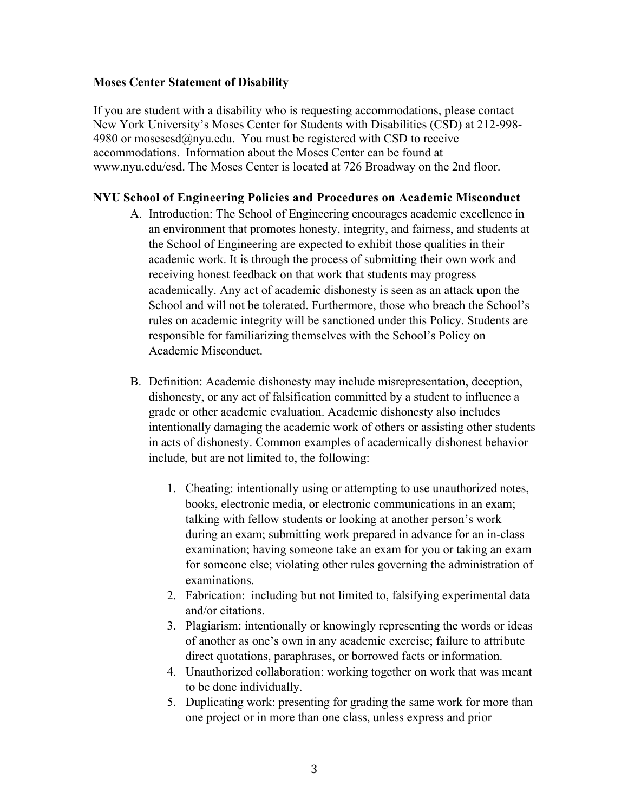### **Moses Center Statement of Disability**

If you are student with a disability who is requesting accommodations, please contact New York University's Moses Center for Students with Disabilities (CSD) at 212-998- 4980 or mosescsd $@$ nyu.edu. You must be registered with CSD to receive accommodations. Information about the Moses Center can be found at www.nyu.edu/csd. The Moses Center is located at 726 Broadway on the 2nd floor.

# **NYU School of Engineering Policies and Procedures on Academic Misconduct**

- A. Introduction: The School of Engineering encourages academic excellence in an environment that promotes honesty, integrity, and fairness, and students at the School of Engineering are expected to exhibit those qualities in their academic work. It is through the process of submitting their own work and receiving honest feedback on that work that students may progress academically. Any act of academic dishonesty is seen as an attack upon the School and will not be tolerated. Furthermore, those who breach the School's rules on academic integrity will be sanctioned under this Policy. Students are responsible for familiarizing themselves with the School's Policy on Academic Misconduct.
- B. Definition: Academic dishonesty may include misrepresentation, deception, dishonesty, or any act of falsification committed by a student to influence a grade or other academic evaluation. Academic dishonesty also includes intentionally damaging the academic work of others or assisting other students in acts of dishonesty. Common examples of academically dishonest behavior include, but are not limited to, the following:
	- 1. Cheating: intentionally using or attempting to use unauthorized notes, books, electronic media, or electronic communications in an exam; talking with fellow students or looking at another person's work during an exam; submitting work prepared in advance for an in-class examination; having someone take an exam for you or taking an exam for someone else; violating other rules governing the administration of examinations.
	- 2. Fabrication: including but not limited to, falsifying experimental data and/or citations.
	- 3. Plagiarism: intentionally or knowingly representing the words or ideas of another as one's own in any academic exercise; failure to attribute direct quotations, paraphrases, or borrowed facts or information.
	- 4. Unauthorized collaboration: working together on work that was meant to be done individually.
	- 5. Duplicating work: presenting for grading the same work for more than one project or in more than one class, unless express and prior